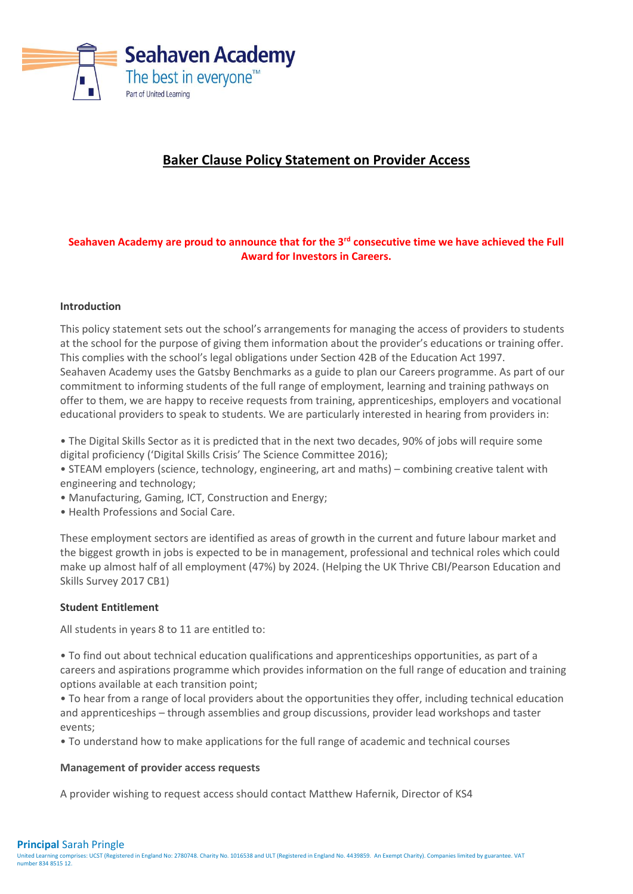

# **Baker Clause Policy Statement on Provider Access**

## **Seahaven Academy are proud to announce that for the 3rd consecutive time we have achieved the Full Award for Investors in Careers.**

### **Introduction**

This policy statement sets out the school's arrangements for managing the access of providers to students at the school for the purpose of giving them information about the provider's educations or training offer. This complies with the school's legal obligations under Section 42B of the Education Act 1997. Seahaven Academy uses the Gatsby Benchmarks as a guide to plan our Careers programme. As part of our commitment to informing students of the full range of employment, learning and training pathways on offer to them, we are happy to receive requests from training, apprenticeships, employers and vocational educational providers to speak to students. We are particularly interested in hearing from providers in:

• The Digital Skills Sector as it is predicted that in the next two decades, 90% of jobs will require some digital proficiency ('Digital Skills Crisis' The Science Committee 2016);

• STEAM employers (science, technology, engineering, art and maths) – combining creative talent with engineering and technology;

- Manufacturing, Gaming, ICT, Construction and Energy;
- Health Professions and Social Care.

These employment sectors are identified as areas of growth in the current and future labour market and the biggest growth in jobs is expected to be in management, professional and technical roles which could make up almost half of all employment (47%) by 2024. (Helping the UK Thrive CBI/Pearson Education and Skills Survey 2017 CB1)

### **Student Entitlement**

All students in years 8 to 11 are entitled to:

• To find out about technical education qualifications and apprenticeships opportunities, as part of a careers and aspirations programme which provides information on the full range of education and training options available at each transition point;

• To hear from a range of local providers about the opportunities they offer, including technical education and apprenticeships – through assemblies and group discussions, provider lead workshops and taster events;

• To understand how to make applications for the full range of academic and technical courses

### **Management of provider access requests**

A provider wishing to request access should contact Matthew Hafernik, Director of KS4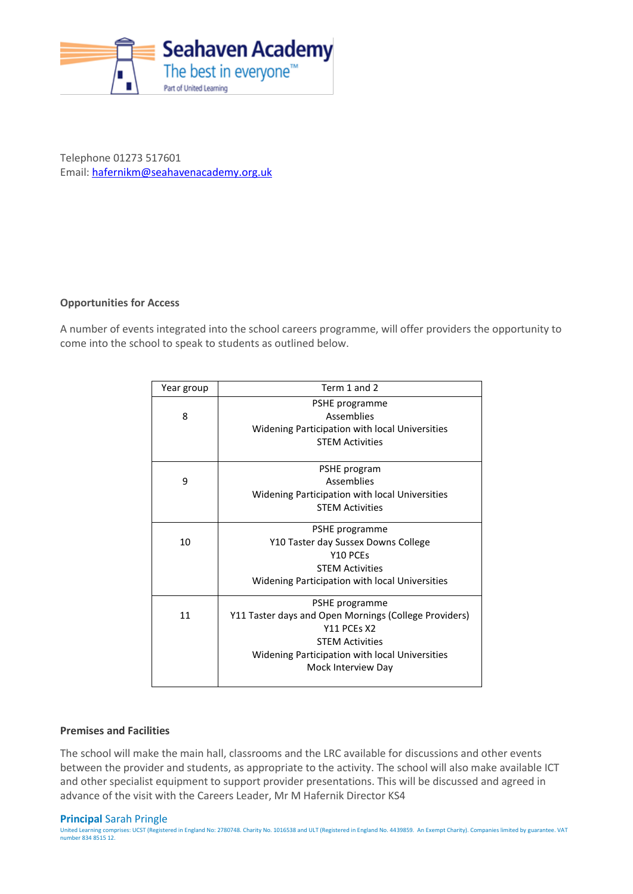

Telephone 01273 517601 Email: [hafernikm@seahavenacademy.org.uk](mailto:hafernikm@seahavenacademy.org.uk)

#### **Opportunities for Access**

A number of events integrated into the school careers programme, will offer providers the opportunity to come into the school to speak to students as outlined below.

| Year group | Term 1 and 2                                                         |
|------------|----------------------------------------------------------------------|
|            | PSHE programme                                                       |
| 8          | <b>Assemblies</b>                                                    |
|            | Widening Participation with local Universities                       |
|            | <b>STEM Activities</b>                                               |
|            | PSHE program                                                         |
| 9          | Assemblies                                                           |
|            | Widening Participation with local Universities                       |
|            | <b>STFM Activities</b>                                               |
|            | PSHE programme                                                       |
| 10         | Y10 Taster day Sussex Downs College                                  |
|            | Y <sub>10</sub> PC <sub>Fs</sub>                                     |
|            | <b>STFM Activities</b>                                               |
|            | Widening Participation with local Universities                       |
|            | PSHE programme                                                       |
| 11         | Y11 Taster days and Open Mornings (College Providers)<br>Y11 PCEs X2 |
|            | <b>STEM Activities</b>                                               |
|            | Widening Participation with local Universities                       |
|            | Mock Interview Day                                                   |
|            |                                                                      |

#### **Premises and Facilities**

The school will make the main hall, classrooms and the LRC available for discussions and other events between the provider and students, as appropriate to the activity. The school will also make available ICT and other specialist equipment to support provider presentations. This will be discussed and agreed in advance of the visit with the Careers Leader, Mr M Hafernik Director KS4

#### **Principal** Sarah Pringle

United Learning comprises: UCST (Registered in England No: 2780748. Charity No. 1016538 and ULT (Registered in England No. 4439859. An Exempt Charity). Companies limited by guarantee. VAT number 834 8515 12.